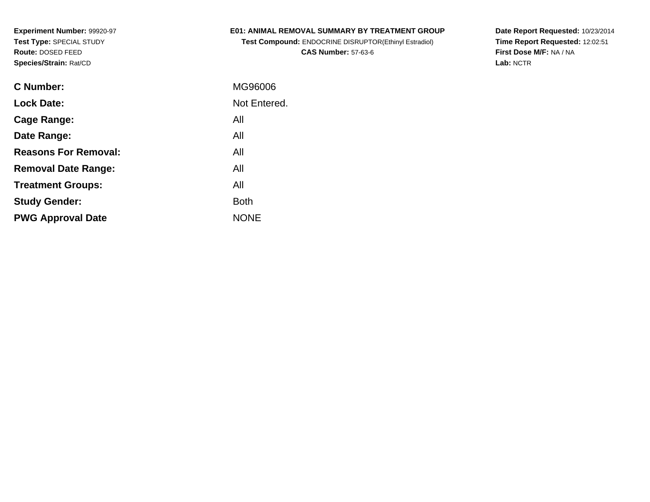### **E01: ANIMAL REMOVAL SUMMARY BY TREATMENT GROUP**

**Test Compound:** ENDOCRINE DISRUPTOR(Ethinyl Estradiol)**CAS Number:** 57-63-6

**Date Report Requested:** 10/23/2014 **Time Report Requested:** 12:02:51**First Dose M/F:** NA / NA**Lab:** NCTR

| C Number:                   | MG96006      |
|-----------------------------|--------------|
| <b>Lock Date:</b>           | Not Entered. |
| Cage Range:                 | All          |
| Date Range:                 | All          |
| <b>Reasons For Removal:</b> | All          |
| <b>Removal Date Range:</b>  | All          |
| <b>Treatment Groups:</b>    | All          |
| <b>Study Gender:</b>        | <b>Both</b>  |
| <b>PWG Approval Date</b>    | <b>NONE</b>  |
|                             |              |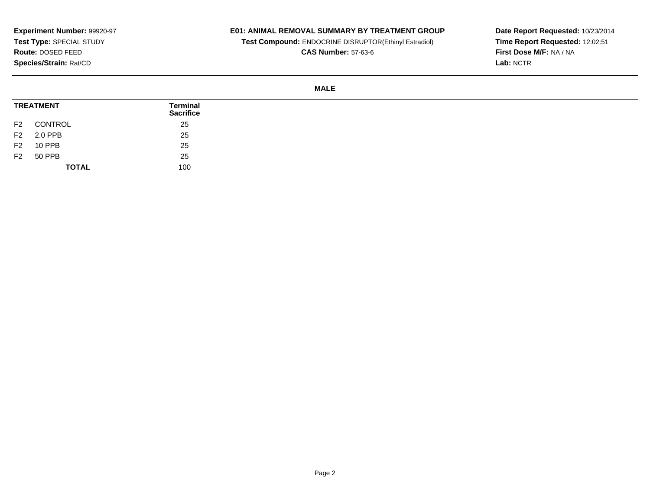## **E01: ANIMAL REMOVAL SUMMARY BY TREATMENT GROUP**

**Test Compound:** ENDOCRINE DISRUPTOR(Ethinyl Estradiol)

**CAS Number:** 57-63-6

**Date Report Requested:** 10/23/2014 **Time Report Requested:** 12:02:51**First Dose M/F:** NA / NA**Lab:** NCTR

#### **MALE**

| <b>TREATMENT</b> |               | Terminal<br><b>Sacrifice</b> |
|------------------|---------------|------------------------------|
| F <sub>2</sub>   | CONTROL       | 25                           |
| F <sub>2</sub>   | 2.0 PPB       | 25                           |
| F <sub>2</sub>   | <b>10 PPB</b> | 25                           |
| F <sub>2</sub>   | 50 PPB        | 25                           |
|                  | <b>TOTAL</b>  | 100                          |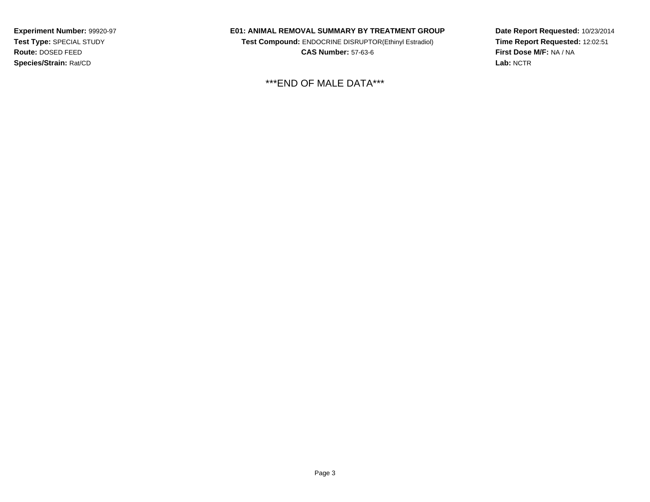#### **E01: ANIMAL REMOVAL SUMMARY BY TREATMENT GROUP**

**Test Compound:** ENDOCRINE DISRUPTOR(Ethinyl Estradiol)**CAS Number:** 57-63-6

\*\*\*END OF MALE DATA\*\*\*

**Date Report Requested:** 10/23/2014**Time Report Requested:** 12:02:51**First Dose M/F:** NA / NA**Lab:** NCTR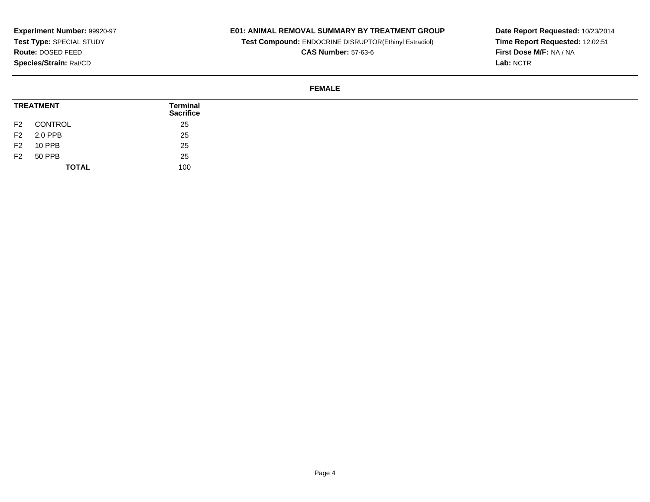## **E01: ANIMAL REMOVAL SUMMARY BY TREATMENT GROUP**

**Test Compound:** ENDOCRINE DISRUPTOR(Ethinyl Estradiol)

**CAS Number:** 57-63-6

**Date Report Requested:** 10/23/2014 **Time Report Requested:** 12:02:51**First Dose M/F:** NA / NA**Lab:** NCTR

#### **FEMALE**

| <b>TREATMENT</b> |               | Terminal<br><b>Sacrifice</b> |  |
|------------------|---------------|------------------------------|--|
| F <sub>2</sub>   | CONTROL       | 25                           |  |
| F <sub>2</sub>   | 2.0 PPB       | 25                           |  |
| F <sub>2</sub>   | <b>10 PPB</b> | 25                           |  |
| F <sub>2</sub>   | 50 PPB        | 25                           |  |
|                  | <b>TOTAL</b>  | 100                          |  |